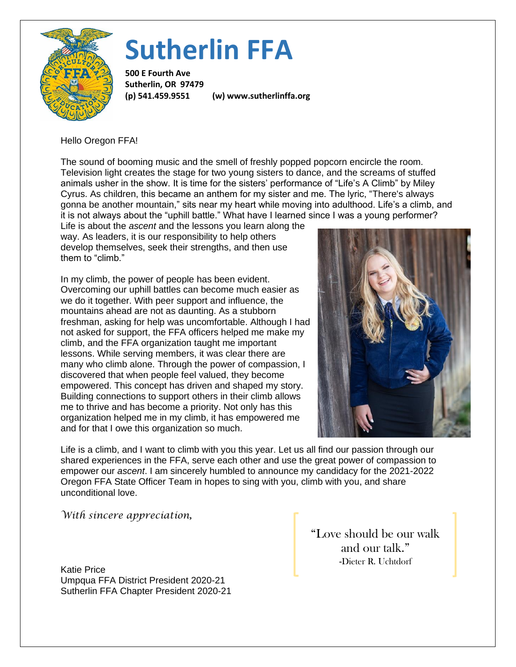

## **Sutherlin FFA**

**500 E Fourth Ave Sutherlin, OR 97479**

**(p) 541.459.9551 (w) www.sutherlinffa.org**

Hello Oregon FFA!

The sound of booming music and the smell of freshly popped popcorn encircle the room. Television light creates the stage for two young sisters to dance, and the screams of stuffed animals usher in the show. It is time for the sisters' performance of "Life's A Climb" by Miley Cyrus. As children, this became an anthem for my sister and me. The lyric, "There's always gonna be another mountain," sits near my heart while moving into adulthood. Life's a climb, and it is not always about the "uphill battle." What have I learned since I was a young performer?

Life is about the *ascent* and the lessons you learn along the way. As leaders, it is our responsibility to help others develop themselves, seek their strengths, and then use them to "climb."

In my climb, the power of people has been evident. Overcoming our uphill battles can become much easier as we do it together. With peer support and influence, the mountains ahead are not as daunting. As a stubborn freshman, asking for help was uncomfortable. Although I had not asked for support, the FFA officers helped me make my climb, and the FFA organization taught me important lessons. While serving members, it was clear there are many who climb alone. Through the power of compassion, I discovered that when people feel valued, they become empowered. This concept has driven and shaped my story. Building connections to support others in their climb allows me to thrive and has become a priority. Not only has this organization helped me in my climb, it has empowered me and for that I owe this organization so much.



Life is a climb, and I want to climb with you this year. Let us all find our passion through our shared experiences in the FFA, serve each other and use the great power of compassion to empower our *ascent*. I am sincerely humbled to announce my candidacy for the 2021-2022 Oregon FFA State Officer Team in hopes to sing with you, climb with you, and share unconditional love.

*With sincere appreciation,*

Katie Price Umpqua FFA District President 2020-21 Sutherlin FFA Chapter President 2020-21 "Love should be our walk and our talk." -Dieter R. Uchtdorf